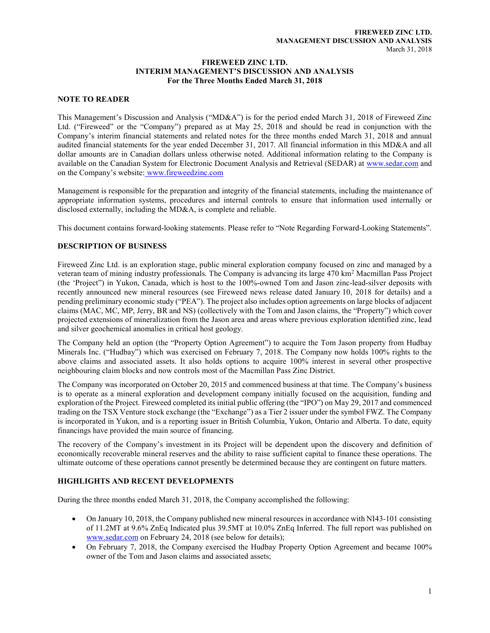#### FIREWEED ZINC LTD. INTERIM MANAGEMENT'S DISCUSSION AND ANALYSIS For the Three Months Ended March 31, 2018

## NOTE TO READER

This Management's Discussion and Analysis ("MD&A") is for the period ended March 31, 2018 of Fireweed Zinc Ltd. ("Fireweed" or the "Company") prepared as at May 25, 2018 and should be read in conjunction with the Company's interim financial statements and related notes for the three months ended March 31, 2018 and annual audited financial statements for the year ended December 31, 2017. All financial information in this MD&A and all dollar amounts are in Canadian dollars unless otherwise noted. Additional information relating to the Company is available on the Canadian System for Electronic Document Analysis and Retrieval (SEDAR) at www.sedar.com and on the Company's website: www.fireweedzinc.com

Management is responsible for the preparation and integrity of the financial statements, including the maintenance of appropriate information systems, procedures and internal controls to ensure that information used internally or disclosed externally, including the MD&A, is complete and reliable.

This document contains forward-looking statements. Please refer to "Note Regarding Forward-Looking Statements".

# DESCRIPTION OF BUSINESS

Fireweed Zinc Ltd. is an exploration stage, public mineral exploration company focused on zinc and managed by a veteran team of mining industry professionals. The Company is advancing its large 470 km<sup>2</sup> Macmillan Pass Project (the 'Project") in Yukon, Canada, which is host to the 100%-owned Tom and Jason zinc-lead-silver deposits with recently announced new mineral resources (see Fireweed news release dated January 10, 2018 for details) and a pending preliminary economic study ("PEA"). The project also includes option agreements on large blocks of adjacent claims (MAC, MC, MP, Jerry, BR and NS) (collectively with the Tom and Jason claims, the "Property") which cover projected extensions of mineralization from the Jason area and areas where previous exploration identified zinc, lead and silver geochemical anomalies in critical host geology.

The Company held an option (the "Property Option Agreement") to acquire the Tom Jason property from Hudbay Minerals Inc. ("Hudbay") which was exercised on February 7, 2018. The Company now holds 100% rights to the above claims and associated assets. It also holds options to acquire 100% interest in several other prospective neighbouring claim blocks and now controls most of the Macmillan Pass Zinc District.

The Company was incorporated on October 20, 2015 and commenced business at that time. The Company's business is to operate as a mineral exploration and development company initially focused on the acquisition, funding and exploration of the Project. Fireweed completed its initial public offering (the "IPO") on May 29, 2017 and commenced trading on the TSX Venture stock exchange (the "Exchange") as a Tier 2 issuer under the symbol FWZ. The Company is incorporated in Yukon, and is a reporting issuer in British Columbia, Yukon, Ontario and Alberta. To date, equity financings have provided the main source of financing.

The recovery of the Company's investment in its Project will be dependent upon the discovery and definition of economically recoverable mineral reserves and the ability to raise sufficient capital to finance these operations. The ultimate outcome of these operations cannot presently be determined because they are contingent on future matters.

# HIGHLIGHTS AND RECENT DEVELOPMENTS

During the three months ended March 31, 2018, the Company accomplished the following:

- On January 10, 2018, the Company published new mineral resources in accordance with NI43-101 consisting of 11.2MT at 9.6% ZnEq Indicated plus 39.5MT at 10.0% ZnEq Inferred. The full report was published on www.sedar.com on February 24, 2018 (see below for details);
- On February 7, 2018, the Company exercised the Hudbay Property Option Agreement and became 100% owner of the Tom and Jason claims and associated assets;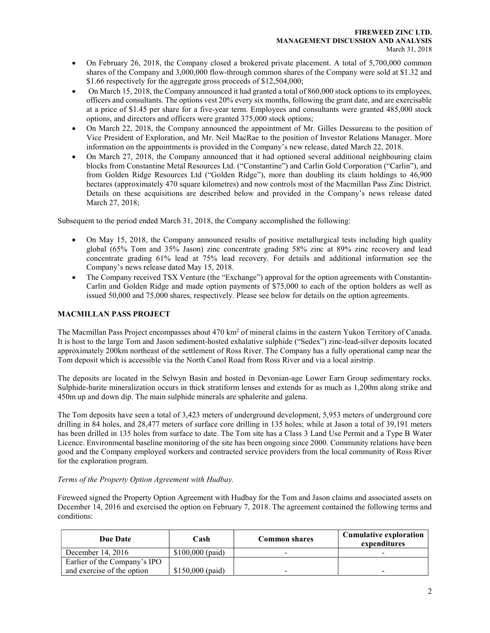- On February 26, 2018, the Company closed a brokered private placement. A total of 5,700,000 common shares of the Company and 3,000,000 flow-through common shares of the Company were sold at \$1.32 and \$1.66 respectively for the aggregate gross proceeds of \$12,504,000;
- On March 15, 2018, the Company announced it had granted a total of 860,000 stock options to its employees, officers and consultants. The options vest 20% every six months, following the grant date, and are exercisable at a price of \$1.45 per share for a five-year term. Employees and consultants were granted 485,000 stock options, and directors and officers were granted 375,000 stock options;
- On March 22, 2018, the Company announced the appointment of Mr. Gilles Dessureau to the position of Vice President of Exploration, and Mr. Neil MacRae to the position of Investor Relations Manager. More information on the appointments is provided in the Company's new release, dated March 22, 2018.
- On March 27, 2018, the Company announced that it had optioned several additional neighbouring claim blocks from Constantine Metal Resources Ltd. ("Constantine") and Carlin Gold Corporation ("Carlin"), and from Golden Ridge Resources Ltd ("Golden Ridge"), more than doubling its claim holdings to 46,900 hectares (approximately 470 square kilometres) and now controls most of the Macmillan Pass Zinc District. Details on these acquisitions are described below and provided in the Company's news release dated March 27, 2018;

Subsequent to the period ended March 31, 2018, the Company accomplished the following:

- On May 15, 2018, the Company announced results of positive metallurgical tests including high quality global (65% Tom and 35% Jason) zinc concentrate grading 58% zinc at 89% zinc recovery and lead concentrate grading 61% lead at 75% lead recovery. For details and additional information see the Company's news release dated May 15, 2018.
- The Company received TSX Venture (the "Exchange") approval for the option agreements with Constantin-Carlin and Golden Ridge and made option payments of \$75,000 to each of the option holders as well as issued 50,000 and 75,000 shares, respectively. Please see below for details on the option agreements.

## MACMILLAN PASS PROJECT

The Macmillan Pass Project encompasses about  $470 \text{ km}^2$  of mineral claims in the eastern Yukon Territory of Canada. It is host to the large Tom and Jason sediment-hosted exhalative sulphide ("Sedex") zinc-lead-silver deposits located approximately 200km northeast of the settlement of Ross River. The Company has a fully operational camp near the Tom deposit which is accessible via the North Canol Road from Ross River and via a local airstrip.

The deposits are located in the Selwyn Basin and hosted in Devonian-age Lower Earn Group sedimentary rocks. Sulphide-barite mineralization occurs in thick stratiform lenses and extends for as much as 1,200m along strike and 450m up and down dip. The main sulphide minerals are sphalerite and galena.

The Tom deposits have seen a total of 3,423 meters of underground development, 5,953 meters of underground core drilling in 84 holes, and 28,477 meters of surface core drilling in 135 holes; while at Jason a total of 39,191 meters has been drilled in 135 holes from surface to date. The Tom site has a Class 3 Land Use Permit and a Type B Water Licence. Environmental baseline monitoring of the site has been ongoing since 2000. Community relations have been good and the Company employed workers and contracted service providers from the local community of Ross River for the exploration program.

## Terms of the Property Option Agreement with Hudbay.

Fireweed signed the Property Option Agreement with Hudbay for the Tom and Jason claims and associated assets on December 14, 2016 and exercised the option on February 7, 2018. The agreement contained the following terms and conditions:

| Due Date                     | Cash              | <b>Common shares</b> | <b>Cumulative exploration</b><br>expenditures |
|------------------------------|-------------------|----------------------|-----------------------------------------------|
| December 14, 2016            | $$100,000$ (paid) |                      |                                               |
| Earlier of the Company's IPO |                   |                      |                                               |
| and exercise of the option   | $$150,000$ (paid) |                      | -                                             |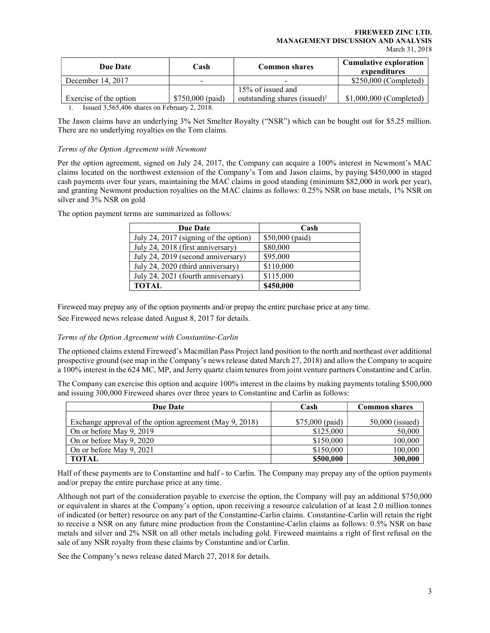| Due Date                                       | Cash                     | <b>Common shares</b>                     | <b>Cumulative exploration</b><br>expenditures |
|------------------------------------------------|--------------------------|------------------------------------------|-----------------------------------------------|
| December 14, 2017                              | $\overline{\phantom{0}}$ |                                          | \$250,000 (Completed)                         |
|                                                |                          | 15% of issued and                        |                                               |
| Exercise of the option                         | $$750,000$ (paid)        | outstanding shares (issued) <sup>1</sup> | $$1,000,000$ (Completed)                      |
| Lequed $3,565,406$ charge on February $2,2018$ |                          |                                          |                                               |

1. Issued 3,565,406 shares on February 2, 2018.

The Jason claims have an underlying 3% Net Smelter Royalty ("NSR") which can be bought out for \$5.25 million. There are no underlying royalties on the Tom claims.

## Terms of the Option Agreement with Newmont

Per the option agreement, signed on July 24, 2017, the Company can acquire a 100% interest in Newmont's MAC claims located on the northwest extension of the Company's Tom and Jason claims, by paying \$450,000 in staged cash payments over four years, maintaining the MAC claims in good standing (minimum \$82,000 in work per year), and granting Newmont production royalties on the MAC claims as follows: 0.25% NSR on base metals, 1% NSR on silver and 3% NSR on gold

| <b>Due Date</b>                       | Cash            |
|---------------------------------------|-----------------|
| July 24, 2017 (signing of the option) | \$50,000 (paid) |
| July 24, 2018 (first anniversary)     | \$80,000        |
| July 24, 2019 (second anniversary)    | \$95,000        |
| July 24, 2020 (third anniversary)     | \$110,000       |
| July 24, 2021 (fourth anniversary)    | \$115,000       |
| <b>TOTAL</b>                          | \$450,000       |

The option payment terms are summarized as follows:

Fireweed may prepay any of the option payments and/or prepay the entire purchase price at any time.

See Fireweed news release dated August 8, 2017 for details.

## Terms of the Option Agreement with Constantine-Carlin

The optioned claims extend Fireweed's Macmillan Pass Project land position to the north and northeast over additional prospective ground (see map in the Company's news release dated March 27, 2018) and allow the Company to acquire a 100% interest in the 624 MC, MP, and Jerry quartz claim tenures from joint venture partners Constantine and Carlin.

The Company can exercise this option and acquire 100% interest in the claims by making payments totaling \$500,000 and issuing 300,000 Fireweed shares over three years to Constantine and Carlin as follows:

| <b>Due Date</b>                                         | Cash             | <b>Common shares</b> |
|---------------------------------------------------------|------------------|----------------------|
| Exchange approval of the option agreement (May 9, 2018) | $$75,000$ (paid) | $50,000$ (issued)    |
| On or before May 9, 2019                                | \$125,000        | 50,000               |
| On or before May 9, 2020                                | \$150,000        | 100,000              |
| On or before May 9, 2021                                | \$150,000        | 100,000              |
| <b>TOTAL</b>                                            | \$500,000        | 300,000              |

Half of these payments are to Constantine and half - to Carlin. The Company may prepay any of the option payments and/or prepay the entire purchase price at any time.

Although not part of the consideration payable to exercise the option, the Company will pay an additional \$750,000 or equivalent in shares at the Company's option, upon receiving a resource calculation of at least 2.0 million tonnes of indicated (or better) resource on any part of the Constantine-Carlin claims. Constantine-Carlin will retain the right to receive a NSR on any future mine production from the Constantine-Carlin claims as follows: 0.5% NSR on base metals and silver and 2% NSR on all other metals including gold. Fireweed maintains a right of first refusal on the sale of any NSR royalty from these claims by Constantine and/or Carlin.

See the Company's news release dated March 27, 2018 for details.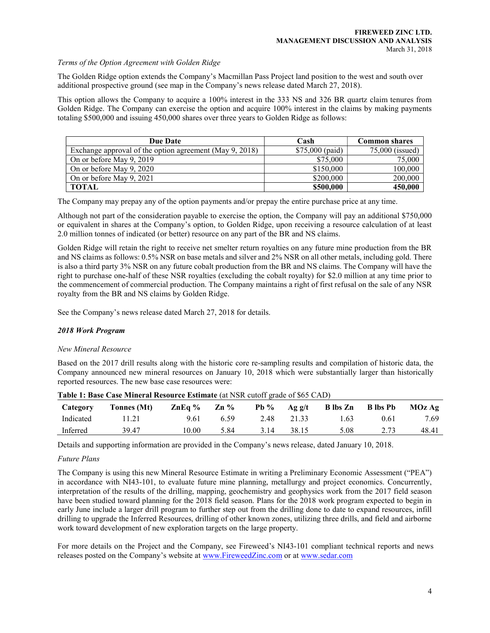#### Terms of the Option Agreement with Golden Ridge

The Golden Ridge option extends the Company's Macmillan Pass Project land position to the west and south over additional prospective ground (see map in the Company's news release dated March 27, 2018).

This option allows the Company to acquire a 100% interest in the 333 NS and 326 BR quartz claim tenures from Golden Ridge. The Company can exercise the option and acquire 100% interest in the claims by making payments totaling \$500,000 and issuing 450,000 shares over three years to Golden Ridge as follows:

| <b>Due Date</b>                                         | Cash             | <b>Common shares</b> |
|---------------------------------------------------------|------------------|----------------------|
| Exchange approval of the option agreement (May 9, 2018) | $$75,000$ (paid) | 75,000 (issued)      |
| On or before May 9, 2019                                | \$75,000         | 75,000               |
| On or before May 9, 2020                                | \$150,000        | 100,000              |
| On or before May 9, 2021                                | \$200,000        | 200,000              |
| <b>TOTAL</b>                                            | \$500,000        | 450,000              |

The Company may prepay any of the option payments and/or prepay the entire purchase price at any time.

Although not part of the consideration payable to exercise the option, the Company will pay an additional \$750,000 or equivalent in shares at the Company's option, to Golden Ridge, upon receiving a resource calculation of at least 2.0 million tonnes of indicated (or better) resource on any part of the BR and NS claims.

Golden Ridge will retain the right to receive net smelter return royalties on any future mine production from the BR and NS claims as follows: 0.5% NSR on base metals and silver and 2% NSR on all other metals, including gold. There is also a third party 3% NSR on any future cobalt production from the BR and NS claims. The Company will have the right to purchase one-half of these NSR royalties (excluding the cobalt royalty) for \$2.0 million at any time prior to the commencement of commercial production. The Company maintains a right of first refusal on the sale of any NSR royalty from the BR and NS claims by Golden Ridge.

See the Company's news release dated March 27, 2018 for details.

## 2018 Work Program

#### New Mineral Resource

Based on the 2017 drill results along with the historic core re-sampling results and compilation of historic data, the Company announced new mineral resources on January 10, 2018 which were substantially larger than historically reported resources. The new base case resources were:

| Category  | THAT IT DRAW CHAT IT IS A THAT IT IS NOT TO A THAT IT IS A THAT IT OF THE VALUE OF $\phi \circ \phi$ of $\phi$<br>Tonnes (Mt) | ZnEq % | $Zn\%$ | $Pb\%$ | Ag g/t | B lbs Zn | <b>B</b> lbs Pb | MOz Ag |
|-----------|-------------------------------------------------------------------------------------------------------------------------------|--------|--------|--------|--------|----------|-----------------|--------|
| Indicated |                                                                                                                               | 9.61   | 6.59   | 2.48   | 21.33  | . 63     | 0.61            | 7.69   |
| Inferred  | 39.47                                                                                                                         | 10.00  | 5.84   | 3.14   | 38.15  | 5.08     |                 | 48.41  |

|  | Table 1: Base Case Mineral Resource Estimate (at NSR cutoff grade of \$65 CAD) |  |
|--|--------------------------------------------------------------------------------|--|
|--|--------------------------------------------------------------------------------|--|

Details and supporting information are provided in the Company's news release, dated January 10, 2018.

## Future Plans

The Company is using this new Mineral Resource Estimate in writing a Preliminary Economic Assessment ("PEA") in accordance with NI43-101, to evaluate future mine planning, metallurgy and project economics. Concurrently, interpretation of the results of the drilling, mapping, geochemistry and geophysics work from the 2017 field season have been studied toward planning for the 2018 field season. Plans for the 2018 work program expected to begin in early June include a larger drill program to further step out from the drilling done to date to expand resources, infill drilling to upgrade the Inferred Resources, drilling of other known zones, utilizing three drills, and field and airborne work toward development of new exploration targets on the large property.

For more details on the Project and the Company, see Fireweed's NI43-101 compliant technical reports and news releases posted on the Company's website at www.FireweedZinc.com or at www.sedar.com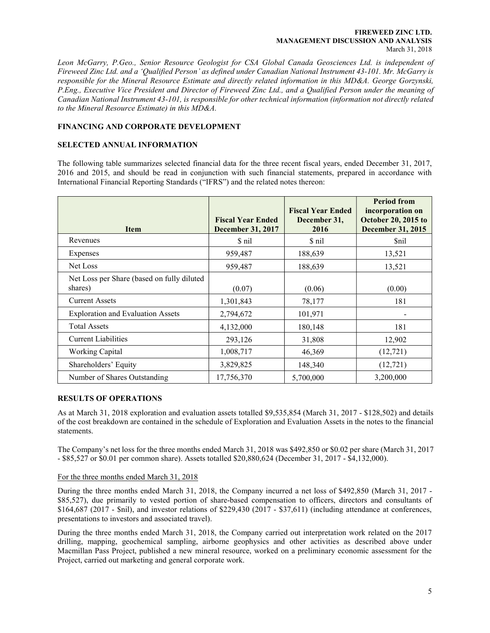#### FIREWEED ZINC LTD. MANAGEMENT DISCUSSION AND ANALYSIS March 31, 2018

Leon McGarry, P.Geo., Senior Resource Geologist for CSA Global Canada Geosciences Ltd. is independent of Fireweed Zinc Ltd. and a 'Qualified Person' as defined under Canadian National Instrument 43-101. Mr. McGarry is responsible for the Mineral Resource Estimate and directly related information in this MD&A. George Gorzynski, P.Eng., Executive Vice President and Director of Fireweed Zinc Ltd., and a Qualified Person under the meaning of Canadian National Instrument 43-101, is responsible for other technical information (information not directly related to the Mineral Resource Estimate) in this MD&A.

## FINANCING AND CORPORATE DEVELOPMENT

## SELECTED ANNUAL INFORMATION

The following table summarizes selected financial data for the three recent fiscal years, ended December 31, 2017, 2016 and 2015, and should be read in conjunction with such financial statements, prepared in accordance with International Financial Reporting Standards ("IFRS") and the related notes thereon:

| Item                                                  | <b>Fiscal Year Ended</b><br><b>December 31, 2017</b> | <b>Fiscal Year Ended</b><br>December 31,<br>2016 | <b>Period from</b><br>incorporation on<br><b>October 20, 2015 to</b><br><b>December 31, 2015</b> |
|-------------------------------------------------------|------------------------------------------------------|--------------------------------------------------|--------------------------------------------------------------------------------------------------|
| Revenues                                              | \$ nil                                               | \$ nil                                           | Snil                                                                                             |
| Expenses                                              | 959,487                                              | 188,639                                          | 13,521                                                                                           |
| Net Loss                                              | 959,487                                              | 188,639                                          | 13,521                                                                                           |
| Net Loss per Share (based on fully diluted<br>shares) | (0.07)                                               | (0.06)                                           | (0.00)                                                                                           |
| <b>Current Assets</b>                                 | 1,301,843                                            | 78,177                                           | 181                                                                                              |
| <b>Exploration and Evaluation Assets</b>              | 2,794,672                                            | 101,971                                          |                                                                                                  |
| <b>Total Assets</b>                                   | 4,132,000                                            | 180,148                                          | 181                                                                                              |
| <b>Current Liabilities</b>                            | 293,126                                              | 31,808                                           | 12,902                                                                                           |
| <b>Working Capital</b>                                | 1,008,717                                            | 46,369                                           | (12, 721)                                                                                        |
| Shareholders' Equity                                  | 3,829,825                                            | 148,340                                          | (12, 721)                                                                                        |
| Number of Shares Outstanding                          | 17,756,370                                           | 5,700,000                                        | 3,200,000                                                                                        |

## RESULTS OF OPERATIONS

As at March 31, 2018 exploration and evaluation assets totalled \$9,535,854 (March 31, 2017 - \$128,502) and details of the cost breakdown are contained in the schedule of Exploration and Evaluation Assets in the notes to the financial statements.

The Company's net loss for the three months ended March 31, 2018 was \$492,850 or \$0.02 per share (March 31, 2017 - \$85,527 or \$0.01 per common share). Assets totalled \$20,880,624 (December 31, 2017 - \$4,132,000).

## For the three months ended March 31, 2018

During the three months ended March 31, 2018, the Company incurred a net loss of \$492,850 (March 31, 2017 - \$85,527), due primarily to vested portion of share-based compensation to officers, directors and consultants of \$164,687 (2017 - \$nil), and investor relations of \$229,430 (2017 - \$37,611) (including attendance at conferences, presentations to investors and associated travel).

During the three months ended March 31, 2018, the Company carried out interpretation work related on the 2017 drilling, mapping, geochemical sampling, airborne geophysics and other activities as described above under Macmillan Pass Project, published a new mineral resource, worked on a preliminary economic assessment for the Project, carried out marketing and general corporate work.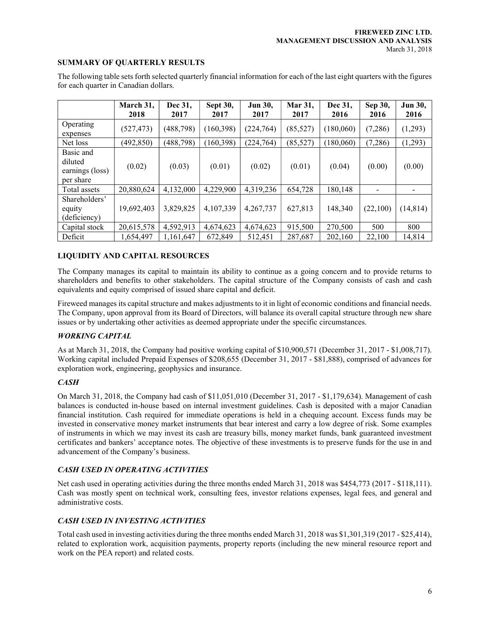#### SUMMARY OF QUARTERLY RESULTS

The following table sets forth selected quarterly financial information for each of the last eight quarters with the figures for each quarter in Canadian dollars. March 31, | Dec 31, | Sept 30, | Jun 30, | Mar 31, | Dec 31, | Sep 30, | Jun 30, 2018 2017 2017 2017 2017 2016 2016 2016

|                                                      | 2018       | 2017       | 2017       | 2017       | 2017      | 2016      | 2016     | 2016      |
|------------------------------------------------------|------------|------------|------------|------------|-----------|-----------|----------|-----------|
| Operating<br>expenses                                | (527, 473) | (488, 798) | (160, 398) | (224, 764) | (85, 527) | (180,060) | (7,286)  | (1,293)   |
| Net loss                                             | (492, 850) | (488, 798) | (160, 398) | (224, 764) | (85,527)  | (180,060) | (7,286)  | (1,293)   |
| Basic and<br>diluted<br>earnings (loss)<br>per share | (0.02)     | (0.03)     | (0.01)     | (0.02)     | (0.01)    | (0.04)    | (0.00)   | (0.00)    |
| Total assets                                         | 20,880,624 | 4,132,000  | 4,229,900  | 4,319,236  | 654,728   | 180,148   |          |           |
| Shareholders'<br>equity<br>(deficiency)              | 19,692,403 | 3,829,825  | 4,107,339  | 4,267,737  | 627,813   | 148,340   | (22,100) | (14, 814) |
| Capital stock                                        | 20,615,578 | 4,592,913  | 4,674,623  | 4,674,623  | 915,500   | 270,500   | 500      | 800       |
| Deficit                                              | 1,654,497  | 1,161,647  | 672,849    | 512,451    | 287,687   | 202,160   | 22,100   | 14,814    |

## LIQUIDITY AND CAPITAL RESOURCES

The Company manages its capital to maintain its ability to continue as a going concern and to provide returns to shareholders and benefits to other stakeholders. The capital structure of the Company consists of cash and cash equivalents and equity comprised of issued share capital and deficit.

Fireweed manages its capital structure and makes adjustments to it in light of economic conditions and financial needs. The Company, upon approval from its Board of Directors, will balance its overall capital structure through new share issues or by undertaking other activities as deemed appropriate under the specific circumstances.

## WORKING CAPITAL

As at March 31, 2018, the Company had positive working capital of \$10,900,571 (December 31, 2017 - \$1,008,717). Working capital included Prepaid Expenses of \$208,655 (December 31, 2017 - \$81,888), comprised of advances for exploration work, engineering, geophysics and insurance.

#### **CASH**

On March 31, 2018, the Company had cash of \$11,051,010 (December 31, 2017 - \$1,179,634). Management of cash balances is conducted in-house based on internal investment guidelines. Cash is deposited with a major Canadian financial institution. Cash required for immediate operations is held in a chequing account. Excess funds may be invested in conservative money market instruments that bear interest and carry a low degree of risk. Some examples of instruments in which we may invest its cash are treasury bills, money market funds, bank guaranteed investment certificates and bankers' acceptance notes. The objective of these investments is to preserve funds for the use in and advancement of the Company's business.

#### CASH USED IN OPERATING ACTIVITIES

Net cash used in operating activities during the three months ended March 31, 2018 was \$454,773 (2017 - \$118,111). Cash was mostly spent on technical work, consulting fees, investor relations expenses, legal fees, and general and administrative costs.

## CASH USED IN INVESTING ACTIVITIES

Total cash used in investing activities during the three months ended March 31, 2018 was \$1,301,319 (2017 - \$25,414), related to exploration work, acquisition payments, property reports (including the new mineral resource report and work on the PEA report) and related costs.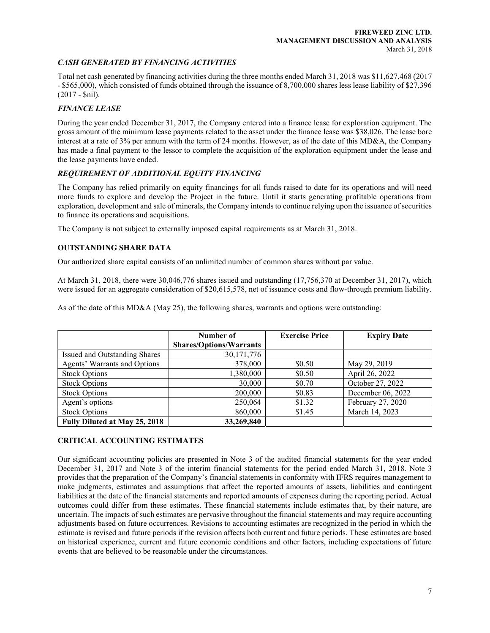## CASH GENERATED BY FINANCING ACTIVITIES

Total net cash generated by financing activities during the three months ended March 31, 2018 was \$11,627,468 (2017 - \$565,000), which consisted of funds obtained through the issuance of 8,700,000 shares less lease liability of \$27,396 (2017 - \$nil).

## FINANCE LEASE

During the year ended December 31, 2017, the Company entered into a finance lease for exploration equipment. The gross amount of the minimum lease payments related to the asset under the finance lease was \$38,026. The lease bore interest at a rate of 3% per annum with the term of 24 months. However, as of the date of this MD&A, the Company has made a final payment to the lessor to complete the acquisition of the exploration equipment under the lease and the lease payments have ended.

## REQUIREMENT OF ADDITIONAL EQUITY FINANCING

The Company has relied primarily on equity financings for all funds raised to date for its operations and will need more funds to explore and develop the Project in the future. Until it starts generating profitable operations from exploration, development and sale of minerals, the Company intends to continue relying upon the issuance of securities to finance its operations and acquisitions.

The Company is not subject to externally imposed capital requirements as at March 31, 2018.

## OUTSTANDING SHARE DATA

Our authorized share capital consists of an unlimited number of common shares without par value.

At March 31, 2018, there were 30,046,776 shares issued and outstanding (17,756,370 at December 31, 2017), which were issued for an aggregate consideration of \$20,615,578, net of issuance costs and flow-through premium liability.

As of the date of this MD&A (May 25), the following shares, warrants and options were outstanding:

|                               | Number of                      | <b>Exercise Price</b> | <b>Expiry Date</b> |
|-------------------------------|--------------------------------|-----------------------|--------------------|
|                               | <b>Shares/Options/Warrants</b> |                       |                    |
| Issued and Outstanding Shares | 30, 171, 776                   |                       |                    |
| Agents' Warrants and Options  | 378,000                        | \$0.50                | May 29, 2019       |
| <b>Stock Options</b>          | 1,380,000                      | \$0.50                | April 26, 2022     |
| <b>Stock Options</b>          | 30,000                         | \$0.70                | October 27, 2022   |
| <b>Stock Options</b>          | 200,000                        | \$0.83                | December 06, 2022  |
| Agent's options               | 250,064                        | \$1.32                | February 27, 2020  |
| <b>Stock Options</b>          | 860,000                        | \$1.45                | March 14, 2023     |
| Fully Diluted at May 25, 2018 | 33,269,840                     |                       |                    |

## CRITICAL ACCOUNTING ESTIMATES

Our significant accounting policies are presented in Note 3 of the audited financial statements for the year ended December 31, 2017 and Note 3 of the interim financial statements for the period ended March 31, 2018. Note 3 provides that the preparation of the Company's financial statements in conformity with IFRS requires management to make judgments, estimates and assumptions that affect the reported amounts of assets, liabilities and contingent liabilities at the date of the financial statements and reported amounts of expenses during the reporting period. Actual outcomes could differ from these estimates. These financial statements include estimates that, by their nature, are uncertain. The impacts of such estimates are pervasive throughout the financial statements and may require accounting adjustments based on future occurrences. Revisions to accounting estimates are recognized in the period in which the estimate is revised and future periods if the revision affects both current and future periods. These estimates are based on historical experience, current and future economic conditions and other factors, including expectations of future events that are believed to be reasonable under the circumstances.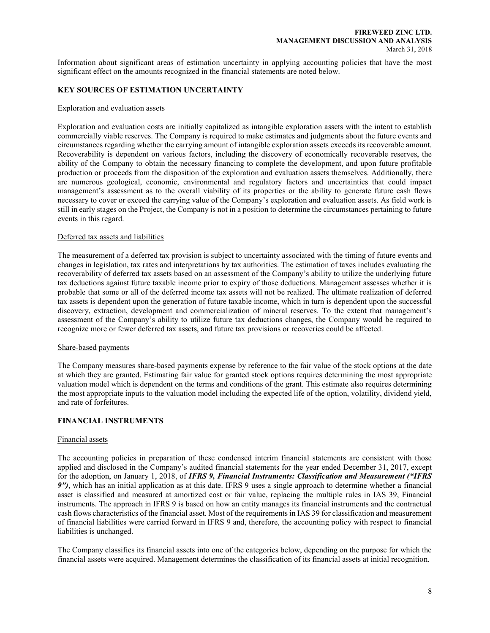Information about significant areas of estimation uncertainty in applying accounting policies that have the most significant effect on the amounts recognized in the financial statements are noted below.

## KEY SOURCES OF ESTIMATION UNCERTAINTY

#### Exploration and evaluation assets

Exploration and evaluation costs are initially capitalized as intangible exploration assets with the intent to establish commercially viable reserves. The Company is required to make estimates and judgments about the future events and circumstances regarding whether the carrying amount of intangible exploration assets exceeds its recoverable amount. Recoverability is dependent on various factors, including the discovery of economically recoverable reserves, the ability of the Company to obtain the necessary financing to complete the development, and upon future profitable production or proceeds from the disposition of the exploration and evaluation assets themselves. Additionally, there are numerous geological, economic, environmental and regulatory factors and uncertainties that could impact management's assessment as to the overall viability of its properties or the ability to generate future cash flows necessary to cover or exceed the carrying value of the Company's exploration and evaluation assets. As field work is still in early stages on the Project, the Company is not in a position to determine the circumstances pertaining to future events in this regard.

#### Deferred tax assets and liabilities

The measurement of a deferred tax provision is subject to uncertainty associated with the timing of future events and changes in legislation, tax rates and interpretations by tax authorities. The estimation of taxes includes evaluating the recoverability of deferred tax assets based on an assessment of the Company's ability to utilize the underlying future tax deductions against future taxable income prior to expiry of those deductions. Management assesses whether it is probable that some or all of the deferred income tax assets will not be realized. The ultimate realization of deferred tax assets is dependent upon the generation of future taxable income, which in turn is dependent upon the successful discovery, extraction, development and commercialization of mineral reserves. To the extent that management's assessment of the Company's ability to utilize future tax deductions changes, the Company would be required to recognize more or fewer deferred tax assets, and future tax provisions or recoveries could be affected.

#### Share-based payments

The Company measures share-based payments expense by reference to the fair value of the stock options at the date at which they are granted. Estimating fair value for granted stock options requires determining the most appropriate valuation model which is dependent on the terms and conditions of the grant. This estimate also requires determining the most appropriate inputs to the valuation model including the expected life of the option, volatility, dividend yield, and rate of forfeitures.

## FINANCIAL INSTRUMENTS

#### Financial assets

The accounting policies in preparation of these condensed interim financial statements are consistent with those applied and disclosed in the Company's audited financial statements for the year ended December 31, 2017, except for the adoption, on January 1, 2018, of IFRS 9, Financial Instruments: Classification and Measurement ("IFRS 9"), which has an initial application as at this date. IFRS 9 uses a single approach to determine whether a financial asset is classified and measured at amortized cost or fair value, replacing the multiple rules in IAS 39, Financial instruments. The approach in IFRS 9 is based on how an entity manages its financial instruments and the contractual cash flows characteristics of the financial asset. Most of the requirements in IAS 39 for classification and measurement of financial liabilities were carried forward in IFRS 9 and, therefore, the accounting policy with respect to financial liabilities is unchanged.

The Company classifies its financial assets into one of the categories below, depending on the purpose for which the financial assets were acquired. Management determines the classification of its financial assets at initial recognition.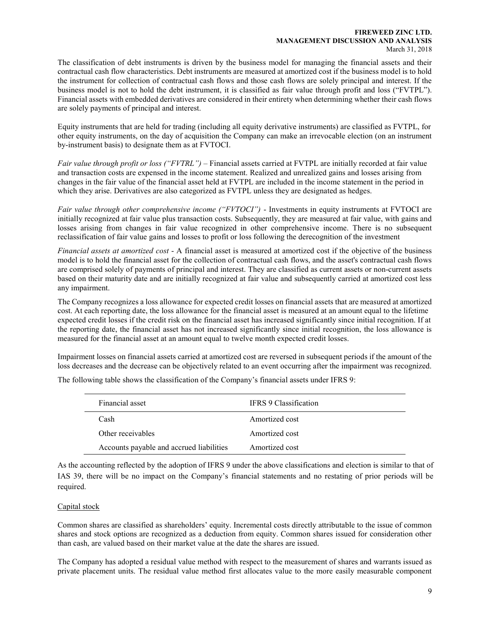#### FIREWEED ZINC LTD. MANAGEMENT DISCUSSION AND ANALYSIS March 31, 2018

The classification of debt instruments is driven by the business model for managing the financial assets and their contractual cash flow characteristics. Debt instruments are measured at amortized cost if the business model is to hold the instrument for collection of contractual cash flows and those cash flows are solely principal and interest. If the business model is not to hold the debt instrument, it is classified as fair value through profit and loss ("FVTPL"). Financial assets with embedded derivatives are considered in their entirety when determining whether their cash flows are solely payments of principal and interest.

Equity instruments that are held for trading (including all equity derivative instruments) are classified as FVTPL, for other equity instruments, on the day of acquisition the Company can make an irrevocable election (on an instrument by-instrument basis) to designate them as at FVTOCI.

Fair value through profit or loss ("FVTRL") – Financial assets carried at FVTPL are initially recorded at fair value and transaction costs are expensed in the income statement. Realized and unrealized gains and losses arising from changes in the fair value of the financial asset held at FVTPL are included in the income statement in the period in which they arise. Derivatives are also categorized as FVTPL unless they are designated as hedges.

Fair value through other comprehensive income ("FVTOCI") - Investments in equity instruments at FVTOCI are initially recognized at fair value plus transaction costs. Subsequently, they are measured at fair value, with gains and losses arising from changes in fair value recognized in other comprehensive income. There is no subsequent reclassification of fair value gains and losses to profit or loss following the derecognition of the investment

Financial assets at amortized cost - A financial asset is measured at amortized cost if the objective of the business model is to hold the financial asset for the collection of contractual cash flows, and the asset's contractual cash flows are comprised solely of payments of principal and interest. They are classified as current assets or non-current assets based on their maturity date and are initially recognized at fair value and subsequently carried at amortized cost less any impairment.

The Company recognizes a loss allowance for expected credit losses on financial assets that are measured at amortized cost. At each reporting date, the loss allowance for the financial asset is measured at an amount equal to the lifetime expected credit losses if the credit risk on the financial asset has increased significantly since initial recognition. If at the reporting date, the financial asset has not increased significantly since initial recognition, the loss allowance is measured for the financial asset at an amount equal to twelve month expected credit losses.

Impairment losses on financial assets carried at amortized cost are reversed in subsequent periods if the amount of the loss decreases and the decrease can be objectively related to an event occurring after the impairment was recognized.

The following table shows the classification of the Company's financial assets under IFRS 9:

| Financial asset                          | <b>IFRS</b> 9 Classification |
|------------------------------------------|------------------------------|
| Cash                                     | Amortized cost               |
| Other receivables                        | Amortized cost               |
| Accounts payable and accrued liabilities | Amortized cost               |

As the accounting reflected by the adoption of IFRS 9 under the above classifications and election is similar to that of IAS 39, there will be no impact on the Company's financial statements and no restating of prior periods will be required.

## Capital stock

Common shares are classified as shareholders' equity. Incremental costs directly attributable to the issue of common shares and stock options are recognized as a deduction from equity. Common shares issued for consideration other than cash, are valued based on their market value at the date the shares are issued.

The Company has adopted a residual value method with respect to the measurement of shares and warrants issued as private placement units. The residual value method first allocates value to the more easily measurable component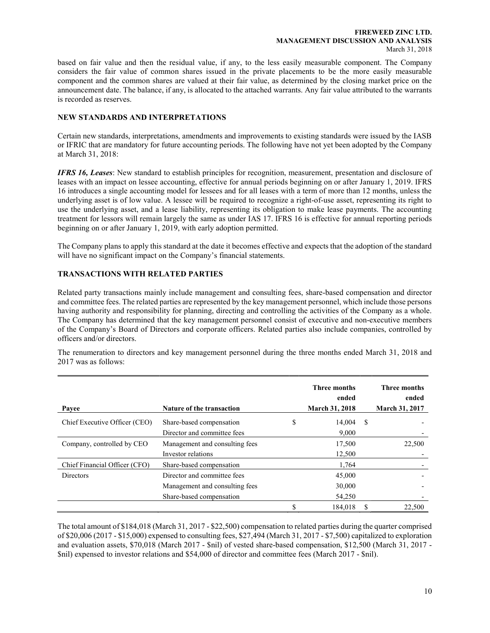based on fair value and then the residual value, if any, to the less easily measurable component. The Company considers the fair value of common shares issued in the private placements to be the more easily measurable component and the common shares are valued at their fair value, as determined by the closing market price on the announcement date. The balance, if any, is allocated to the attached warrants. Any fair value attributed to the warrants is recorded as reserves.

## NEW STANDARDS AND INTERPRETATIONS

Certain new standards, interpretations, amendments and improvements to existing standards were issued by the IASB or IFRIC that are mandatory for future accounting periods. The following have not yet been adopted by the Company at March 31, 2018:

**IFRS 16, Leases:** New standard to establish principles for recognition, measurement, presentation and disclosure of leases with an impact on lessee accounting, effective for annual periods beginning on or after January 1, 2019. IFRS 16 introduces a single accounting model for lessees and for all leases with a term of more than 12 months, unless the underlying asset is of low value. A lessee will be required to recognize a right-of-use asset, representing its right to use the underlying asset, and a lease liability, representing its obligation to make lease payments. The accounting treatment for lessors will remain largely the same as under IAS 17. IFRS 16 is effective for annual reporting periods beginning on or after January 1, 2019, with early adoption permitted.

The Company plans to apply this standard at the date it becomes effective and expects that the adoption of the standard will have no significant impact on the Company's financial statements.

## TRANSACTIONS WITH RELATED PARTIES

Related party transactions mainly include management and consulting fees, share-based compensation and director and committee fees. The related parties are represented by the key management personnel, which include those persons having authority and responsibility for planning, directing and controlling the activities of the Company as a whole. The Company has determined that the key management personnel consist of executive and non-executive members of the Company's Board of Directors and corporate officers. Related parties also include companies, controlled by officers and/or directors.

The renumeration to directors and key management personnel during the three months ended March 31, 2018 and 2017 was as follows:

| Payee                         | <b>Nature of the transaction</b>                                                          | <b>Three months</b><br>ended<br><b>March 31, 2018</b> |    | <b>Three months</b><br>ended<br><b>March 31, 2017</b> |
|-------------------------------|-------------------------------------------------------------------------------------------|-------------------------------------------------------|----|-------------------------------------------------------|
| Chief Executive Officer (CEO) | Share-based compensation<br>Director and committee fees                                   | \$<br>14,004<br>9.000                                 | -S |                                                       |
| Company, controlled by CEO    | Management and consulting fees<br>Investor relations                                      | 17,500<br>12,500                                      |    | 22,500                                                |
| Chief Financial Officer (CFO) | Share-based compensation                                                                  | 1.764                                                 |    |                                                       |
| Directors                     | Director and committee fees<br>Management and consulting fees<br>Share-based compensation | 45,000<br>30,000<br>54,250                            |    |                                                       |
|                               |                                                                                           | 184,018                                               | S  | 22,500                                                |

The total amount of \$184,018 (March 31, 2017 - \$22,500) compensation to related parties during the quarter comprised of \$20,006 (2017 - \$15,000) expensed to consulting fees, \$27,494 (March 31, 2017 - \$7,500) capitalized to exploration and evaluation assets, \$70,018 (March 2017 - \$nil) of vested share-based compensation, \$12,500 (March 31, 2017 - \$nil) expensed to investor relations and \$54,000 of director and committee fees (March 2017 - \$nil).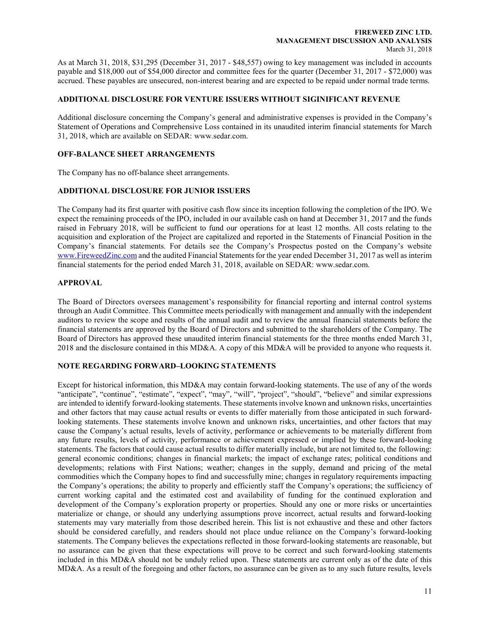#### FIREWEED ZINC LTD. MANAGEMENT DISCUSSION AND ANALYSIS March 31, 2018

As at March 31, 2018, \$31,295 (December 31, 2017 - \$48,557) owing to key management was included in accounts payable and \$18,000 out of \$54,000 director and committee fees for the quarter (December 31, 2017 - \$72,000) was accrued. These payables are unsecured, non-interest bearing and are expected to be repaid under normal trade terms.

## ADDITIONAL DISCLOSURE FOR VENTURE ISSUERS WITHOUT SIGINIFICANT REVENUE

Additional disclosure concerning the Company's general and administrative expenses is provided in the Company's Statement of Operations and Comprehensive Loss contained in its unaudited interim financial statements for March 31, 2018, which are available on SEDAR: www.sedar.com.

## OFF-BALANCE SHEET ARRANGEMENTS

The Company has no off-balance sheet arrangements.

## ADDITIONAL DISCLOSURE FOR JUNIOR ISSUERS

The Company had its first quarter with positive cash flow since its inception following the completion of the IPO. We expect the remaining proceeds of the IPO, included in our available cash on hand at December 31, 2017 and the funds raised in February 2018, will be sufficient to fund our operations for at least 12 months. All costs relating to the acquisition and exploration of the Project are capitalized and reported in the Statements of Financial Position in the Company's financial statements. For details see the Company's Prospectus posted on the Company's website www.FireweedZinc.com and the audited Financial Statements for the year ended December 31, 2017 as well as interim financial statements for the period ended March 31, 2018, available on SEDAR: www.sedar.com.

## APPROVAL

The Board of Directors oversees management's responsibility for financial reporting and internal control systems through an Audit Committee. This Committee meets periodically with management and annually with the independent auditors to review the scope and results of the annual audit and to review the annual financial statements before the financial statements are approved by the Board of Directors and submitted to the shareholders of the Company. The Board of Directors has approved these unaudited interim financial statements for the three months ended March 31, 2018 and the disclosure contained in this MD&A. A copy of this MD&A will be provided to anyone who requests it.

## NOTE REGARDING FORWARD–LOOKING STATEMENTS

Except for historical information, this MD&A may contain forward-looking statements. The use of any of the words "anticipate", "continue", "estimate", "expect", "may", "will", "project", "should", "believe" and similar expressions are intended to identify forward-looking statements. These statements involve known and unknown risks, uncertainties and other factors that may cause actual results or events to differ materially from those anticipated in such forwardlooking statements. These statements involve known and unknown risks, uncertainties, and other factors that may cause the Company's actual results, levels of activity, performance or achievements to be materially different from any future results, levels of activity, performance or achievement expressed or implied by these forward-looking statements. The factors that could cause actual results to differ materially include, but are not limited to, the following: general economic conditions; changes in financial markets; the impact of exchange rates; political conditions and developments; relations with First Nations; weather; changes in the supply, demand and pricing of the metal commodities which the Company hopes to find and successfully mine; changes in regulatory requirements impacting the Company's operations; the ability to properly and efficiently staff the Company's operations; the sufficiency of current working capital and the estimated cost and availability of funding for the continued exploration and development of the Company's exploration property or properties. Should any one or more risks or uncertainties materialize or change, or should any underlying assumptions prove incorrect, actual results and forward-looking statements may vary materially from those described herein. This list is not exhaustive and these and other factors should be considered carefully, and readers should not place undue reliance on the Company's forward-looking statements. The Company believes the expectations reflected in those forward-looking statements are reasonable, but no assurance can be given that these expectations will prove to be correct and such forward-looking statements included in this MD&A should not be unduly relied upon. These statements are current only as of the date of this MD&A. As a result of the foregoing and other factors, no assurance can be given as to any such future results, levels